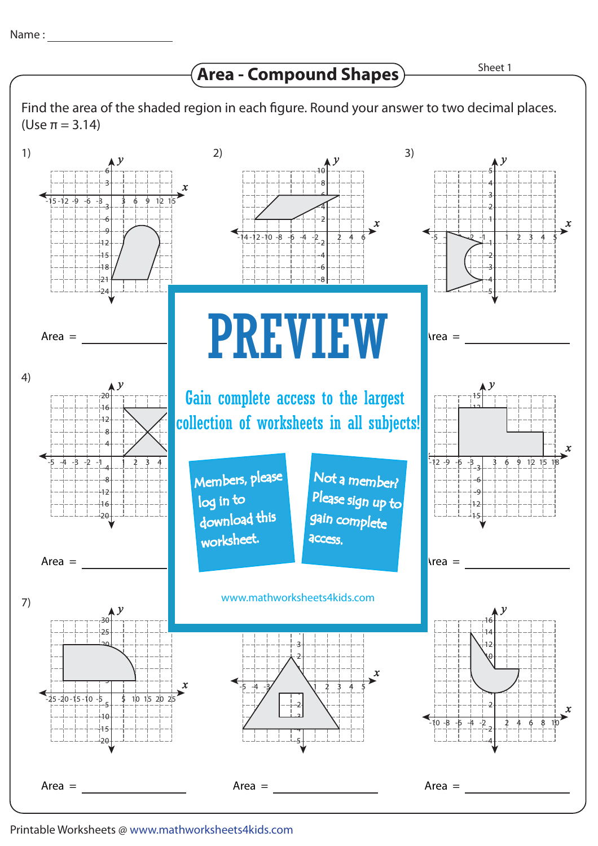**Area - Compound Shapes**

Sheet 1

Find the area of the shaded region in each figure. Round your answer to two decimal places. (Use π = 3.14)



Printable Worksheets @ www.mathworksheets4kids.com